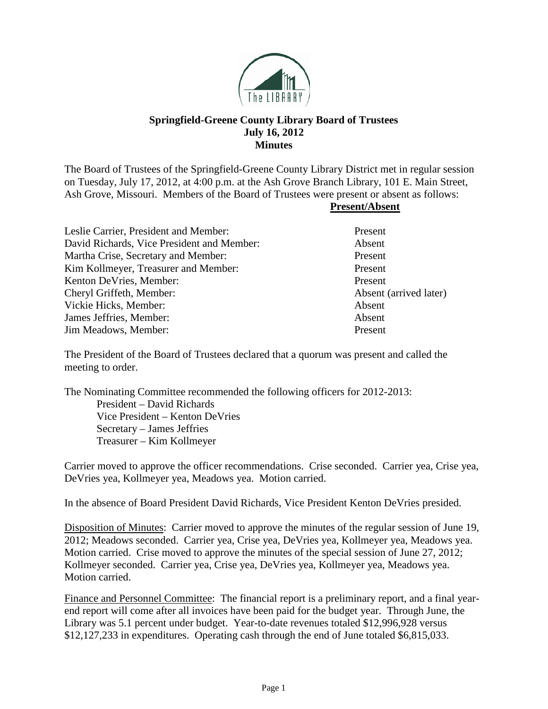

## **Springfield-Greene County Library Board of Trustees July 16, 2012 Minutes**

The Board of Trustees of the Springfield-Greene County Library District met in regular session on Tuesday, July 17, 2012, at 4:00 p.m. at the Ash Grove Branch Library, 101 E. Main Street, Ash Grove, Missouri. Members of the Board of Trustees were present or absent as follows:

## **Present/Absent**

| Present                |
|------------------------|
| Absent                 |
| Present                |
| Present                |
| Present                |
| Absent (arrived later) |
| Absent                 |
| Absent                 |
| Present                |
|                        |

The President of the Board of Trustees declared that a quorum was present and called the meeting to order.

The Nominating Committee recommended the following officers for 2012-2013: President – David Richards Vice President – Kenton DeVries Secretary – James Jeffries Treasurer – Kim Kollmeyer

Carrier moved to approve the officer recommendations. Crise seconded. Carrier yea, Crise yea, DeVries yea, Kollmeyer yea, Meadows yea. Motion carried.

In the absence of Board President David Richards, Vice President Kenton DeVries presided.

Disposition of Minutes: Carrier moved to approve the minutes of the regular session of June 19, 2012; Meadows seconded. Carrier yea, Crise yea, DeVries yea, Kollmeyer yea, Meadows yea. Motion carried. Crise moved to approve the minutes of the special session of June 27, 2012; Kollmeyer seconded. Carrier yea, Crise yea, DeVries yea, Kollmeyer yea, Meadows yea. Motion carried.

Finance and Personnel Committee: The financial report is a preliminary report, and a final yearend report will come after all invoices have been paid for the budget year. Through June, the Library was 5.1 percent under budget. Year-to-date revenues totaled \$12,996,928 versus \$12,127,233 in expenditures. Operating cash through the end of June totaled \$6,815,033.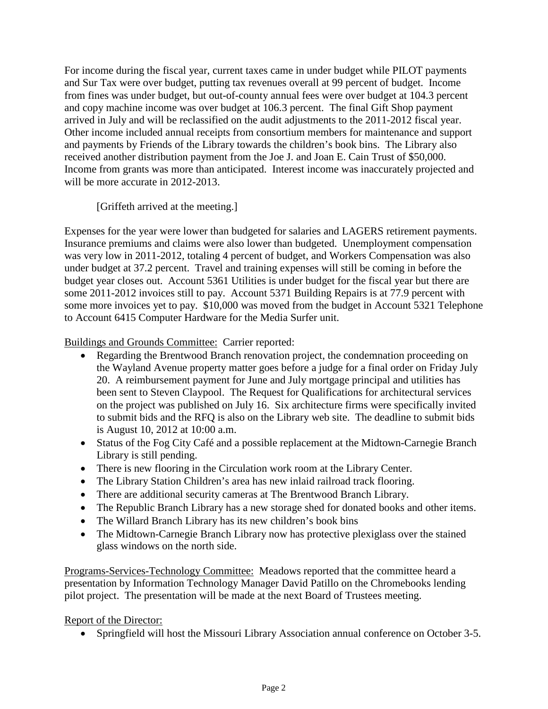For income during the fiscal year, current taxes came in under budget while PILOT payments and Sur Tax were over budget, putting tax revenues overall at 99 percent of budget. Income from fines was under budget, but out-of-county annual fees were over budget at 104.3 percent and copy machine income was over budget at 106.3 percent. The final Gift Shop payment arrived in July and will be reclassified on the audit adjustments to the 2011-2012 fiscal year. Other income included annual receipts from consortium members for maintenance and support and payments by Friends of the Library towards the children's book bins. The Library also received another distribution payment from the Joe J. and Joan E. Cain Trust of \$50,000. Income from grants was more than anticipated. Interest income was inaccurately projected and will be more accurate in 2012-2013.

[Griffeth arrived at the meeting.]

Expenses for the year were lower than budgeted for salaries and LAGERS retirement payments. Insurance premiums and claims were also lower than budgeted. Unemployment compensation was very low in 2011-2012, totaling 4 percent of budget, and Workers Compensation was also under budget at 37.2 percent. Travel and training expenses will still be coming in before the budget year closes out. Account 5361 Utilities is under budget for the fiscal year but there are some 2011-2012 invoices still to pay. Account 5371 Building Repairs is at 77.9 percent with some more invoices yet to pay. \$10,000 was moved from the budget in Account 5321 Telephone to Account 6415 Computer Hardware for the Media Surfer unit.

Buildings and Grounds Committee: Carrier reported:

- Regarding the Brentwood Branch renovation project, the condemnation proceeding on the Wayland Avenue property matter goes before a judge for a final order on Friday July 20. A reimbursement payment for June and July mortgage principal and utilities has been sent to Steven Claypool. The Request for Qualifications for architectural services on the project was published on July 16. Six architecture firms were specifically invited to submit bids and the RFQ is also on the Library web site. The deadline to submit bids is August 10, 2012 at 10:00 a.m.
- Status of the Fog City Café and a possible replacement at the Midtown-Carnegie Branch Library is still pending.
- There is new flooring in the Circulation work room at the Library Center.
- The Library Station Children's area has new inlaid railroad track flooring.
- There are additional security cameras at The Brentwood Branch Library.
- The Republic Branch Library has a new storage shed for donated books and other items.
- The Willard Branch Library has its new children's book bins
- The Midtown-Carnegie Branch Library now has protective plexiglass over the stained glass windows on the north side.

Programs-Services-Technology Committee: Meadows reported that the committee heard a presentation by Information Technology Manager David Patillo on the Chromebooks lending pilot project. The presentation will be made at the next Board of Trustees meeting.

Report of the Director:

• Springfield will host the Missouri Library Association annual conference on October 3-5.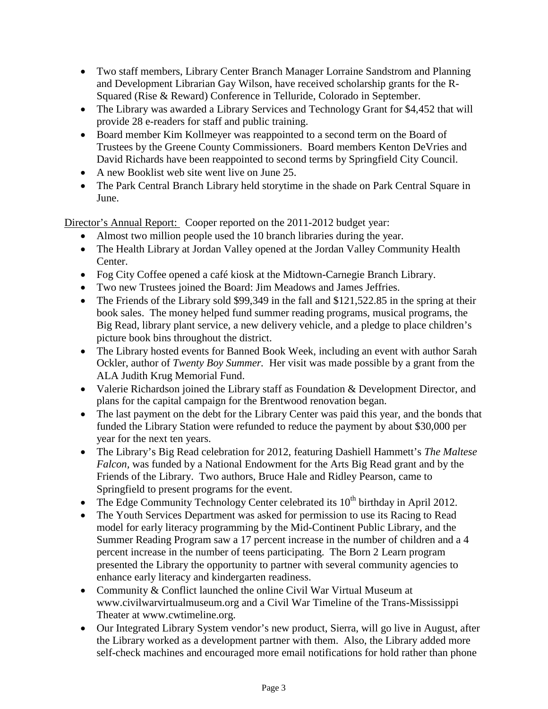- Two staff members, Library Center Branch Manager Lorraine Sandstrom and Planning and Development Librarian Gay Wilson, have received scholarship grants for the R-Squared (Rise & Reward) Conference in Telluride, Colorado in September.
- The Library was awarded a Library Services and Technology Grant for \$4,452 that will provide 28 e-readers for staff and public training.
- Board member Kim Kollmeyer was reappointed to a second term on the Board of Trustees by the Greene County Commissioners. Board members Kenton DeVries and David Richards have been reappointed to second terms by Springfield City Council.
- A new Booklist web site went live on June 25.
- The Park Central Branch Library held storytime in the shade on Park Central Square in June.

Director's Annual Report: Cooper reported on the 2011-2012 budget year:

- Almost two million people used the 10 branch libraries during the year.
- The Health Library at Jordan Valley opened at the Jordan Valley Community Health Center.
- Fog City Coffee opened a café kiosk at the Midtown-Carnegie Branch Library.
- Two new Trustees joined the Board: Jim Meadows and James Jeffries.
- The Friends of the Library sold \$99,349 in the fall and \$121,522.85 in the spring at their book sales. The money helped fund summer reading programs, musical programs, the Big Read, library plant service, a new delivery vehicle, and a pledge to place children's picture book bins throughout the district.
- The Library hosted events for Banned Book Week, including an event with author Sarah Ockler, author of *Twenty Boy Summer.* Her visit was made possible by a grant from the ALA Judith Krug Memorial Fund.
- Valerie Richardson joined the Library staff as Foundation & Development Director, and plans for the capital campaign for the Brentwood renovation began.
- The last payment on the debt for the Library Center was paid this year, and the bonds that funded the Library Station were refunded to reduce the payment by about \$30,000 per year for the next ten years.
- The Library's Big Read celebration for 2012, featuring Dashiell Hammett's *The Maltese Falcon,* was funded by a National Endowment for the Arts Big Read grant and by the Friends of the Library. Two authors, Bruce Hale and Ridley Pearson, came to Springfield to present programs for the event.
- The Edge Community Technology Center celebrated its  $10<sup>th</sup>$  birthday in April 2012.
- The Youth Services Department was asked for permission to use its Racing to Read model for early literacy programming by the Mid-Continent Public Library, and the Summer Reading Program saw a 17 percent increase in the number of children and a 4 percent increase in the number of teens participating. The Born 2 Learn program presented the Library the opportunity to partner with several community agencies to enhance early literacy and kindergarten readiness.
- Community & Conflict launched the online Civil War Virtual Museum at www.civilwarvirtualmuseum.org and a Civil War Timeline of the Trans-Mississippi Theater at www.cwtimeline.org.
- Our Integrated Library System vendor's new product, Sierra, will go live in August, after the Library worked as a development partner with them. Also, the Library added more self-check machines and encouraged more email notifications for hold rather than phone